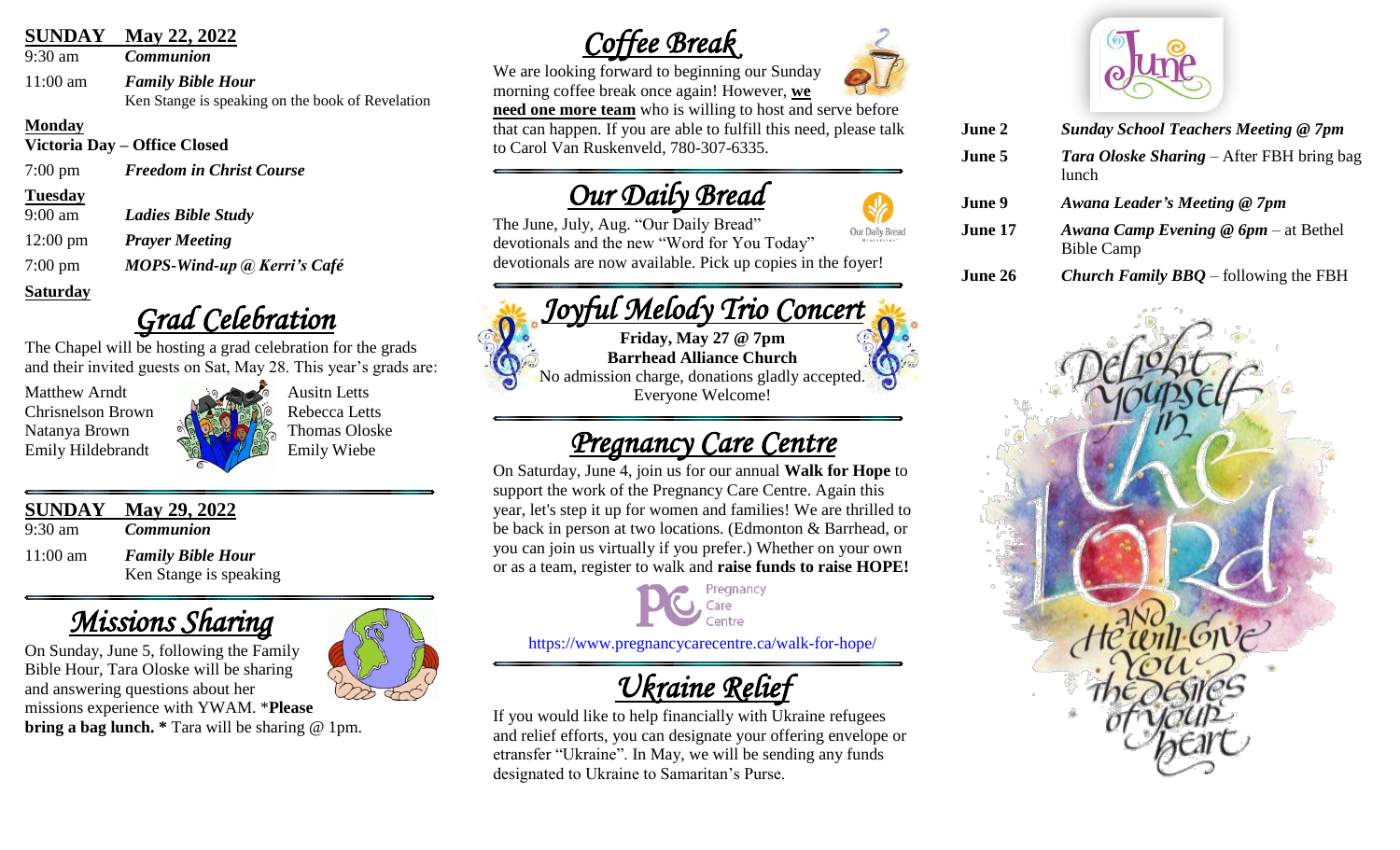## **SUNDAY May 22, 2022**

9:30 am *Communion*

11:00 am *Family Bible Hour* Ken Stange is speaking on the book of Revelation

#### **Monday**

**Victoria Day – Office Closed**

7:00 pm *Freedom in Christ Course*

#### **Tuesday**

9:00 am *Ladies Bible Study*

12:00 pm *Prayer Meeting*

7:00 pm *MOPS-Wind-up @ Kerri's Café*

## **Saturday**

## *Grad Celebration*

The Chapel will be hosting a grad celebration for the grads and their invited guests on Sat, May 28. This year's grads are:

Matthew Arndt Ausitn Letts Chrisnelson Brown Rebecca Letts Emily Hildebrandt **Emily Wiebe** 

Natanya Brown  $\frac{\partial \phi}{\partial x}$   $\frac{\partial \phi}{\partial y}$  Thomas Oloske

## **SUNDAY May 29, 2022**

9:30 am *Communion* 11:00 am *Family Bible Hour* Ken Stange is speaking

# *Missions Sharing*

On Sunday, June 5, following the Family Bible Hour, Tara Oloske will be sharing and answering questions about her missions experience with YWAM. \***Please bring a bag lunch.** \* Tara will be sharing @ 1pm.



## *Coffee Break*

We are looking forward to beginning our Sunday morning coffee break once again! However, **we need one more team** who is willing to host and serve before that can happen. If you are able to fulfill this need, please talk to Carol Van Ruskenveld, 780-307-6335.

## *Our Daily Bread*

Our Daily Bread

The June, July, Aug. "Our Daily Bread" devotionals and the new "Word for You Today" devotionals are now available. Pick up copies in the foyer!



**Barrhead Alliance Church** No admission charge, donations gladly accepted. Everyone Welcome!

## *Pregnancy Care Centre*

On Saturday, June 4, join us for our annual **Walk for Hope** to support the work of the Pregnancy Care Centre. Again this year, let's step it up for women and families! We are thrilled to be back in person at two locations. (Edmonton & Barrhead, or you can join us virtually if you prefer.) Whether on your own or as a team, register to walk and **raise funds to raise HOPE!**

<https://www.pregnancycarecentre.ca/walk-for-hope/>

# *Ukraine Relief*

If you would like to help financially with Ukraine refugees and relief efforts, you can designate your offering envelope or etransfer "Ukraine". In May, we will be sending any funds designated to Ukraine to Samaritan's Purse.





|                                                                     | June 2 | <b>Sunday School Teachers Meeting @ 7pm</b> |
|---------------------------------------------------------------------|--------|---------------------------------------------|
| <b>Tara Oloske Sharing – After FBH bring bag</b><br>June 5<br>lunch |        |                                             |

- **June 9** *Awana Leader's Meeting @ 7pm*
- **June 17** *Awana Camp Evening @ 6pm*  at Bethel Bible Camp
- **June 26** *Church Family BBQ* following the FBH